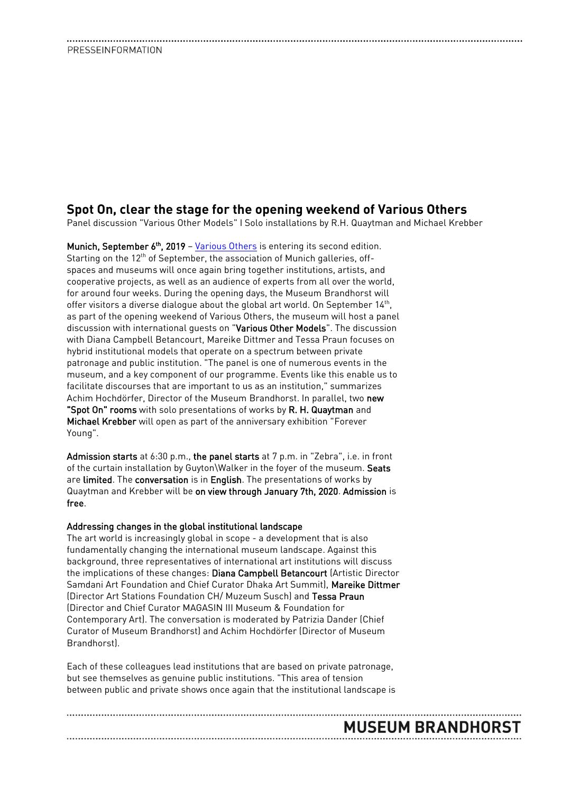### **Spot On, clear the stage for the opening weekend of Various Others**

Panel discussion "Various Other Models" I Solo installations by R.H. Quaytman and Michael Krebber

Munich, September 6<sup>th</sup>, 2019 - [Various Others](https://www.variousothers.com/) is entering its second edition. Starting on the 12<sup>th</sup> of September, the association of Munich galleries, offspaces and museums will once again bring together institutions, artists, and cooperative projects, as well as an audience of experts from all over the world, for around four weeks. During the opening days, the Museum Brandhorst will offer visitors a diverse dialogue about the global art world. On September 14th, as part of the opening weekend of Various Others, the museum will host a panel discussion with international guests on "Various Other Models". The discussion with Diana Campbell Betancourt, Mareike Dittmer and Tessa Praun focuses on hybrid institutional models that operate on a spectrum between private patronage and public institution. "The panel is one of numerous events in the museum, and a key component of our programme. Events like this enable us to facilitate discourses that are important to us as an institution," summarizes Achim Hochdörfer, Director of the Museum Brandhorst. In parallel, two new "Spot On" rooms with solo presentations of works by R. H. Quaytman and Michael Krebber will open as part of the anniversary exhibition "Forever Young".

Admission starts at 6:30 p.m., the panel starts at 7 p.m. in "Zebra", i.e. in front of the curtain installation by Guyton\Walker in the foyer of the museum. Seats are limited. The conversation is in English. The presentations of works by Quaytman and Krebber will be on view through January 7th, 2020. Admission is free.

### Addressing changes in the global institutional landscape

The art world is increasingly global in scope - a development that is also fundamentally changing the international museum landscape. Against this background, three representatives of international art institutions will discuss the implications of these changes: Diana Campbell Betancourt (Artistic Director Samdani Art Foundation and Chief Curator Dhaka Art Summit), Mareike Dittmer (Director Art Stations Foundation CH/ Muzeum Susch) and Tessa Praun (Director and Chief Curator MAGASIN III Museum & Foundation for Contemporary Art). The conversation is moderated by Patrizia Dander (Chief Curator of Museum Brandhorst) and Achim Hochdörfer (Director of Museum Brandhorst).

Each of these colleagues lead institutions that are based on private patronage, but see themselves as genuine public institutions. "This area of tension between public and private shows once again that the institutional landscape is

**MUSEUM BRANDHORST**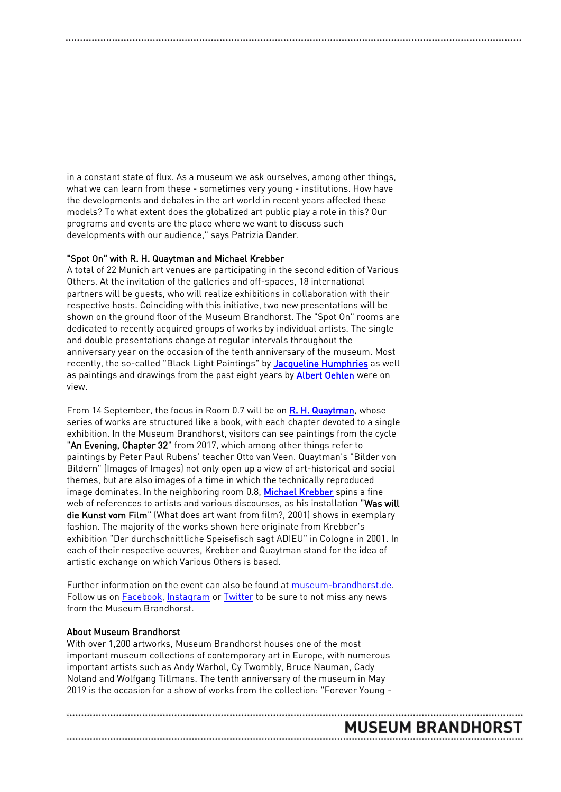in a constant state of flux. As a museum we ask ourselves, among other things, what we can learn from these - sometimes very young - institutions. How have the developments and debates in the art world in recent years affected these models? To what extent does the globalized art public play a role in this? Our programs and events are the place where we want to discuss such developments with our audience," says Patrizia Dander.

### "Spot On" with R. H. Quaytman and Michael Krebber

A total of 22 Munich art venues are participating in the second edition of Various Others. At the invitation of the galleries and off-spaces, 18 international partners will be guests, who will realize exhibitions in collaboration with their respective hosts. Coinciding with this initiative, two new presentations will be shown on the ground floor of the Museum Brandhorst. The "Spot On" rooms are dedicated to recently acquired groups of works by individual artists. The single and double presentations change at regular intervals throughout the anniversary year on the occasion of the tenth anniversary of the museum. Most recently, the so-called "Black Light Paintings" by [Jacqueline Humphries](https://www.museum-brandhorst.de/ausstellungen/spot-on-jacqueline-humphries/) as well as paintings and drawings from the past eight years by **Albert Oehlen** were on view.

From 14 September, the focus in Room 0.7 will be on [R. H. Quaytman,](https://www.museum-brandhorst.de/ausstellungen/spot-on-r-h-quaytman/) whose series of works are structured like a book, with each chapter devoted to a single exhibition. In the Museum Brandhorst, visitors can see paintings from the cycle "An Evening, Chapter 32" from 2017, which among other things refer to paintings by Peter Paul Rubens' teacher Otto van Veen. Quaytman's "Bilder von Bildern" (Images of Images) not only open up a view of art-historical and social themes, but are also images of a time in which the technically reproduced image dominates. In the neighboring room 0.8, [Michael Krebber](https://www.museum-brandhorst.de/ausstellungen/spot-on-michael-krebber/) spins a fine web of references to artists and various discourses, as his installation "Was will die Kunst vom Film" (What does art want from film?, 2001) shows in exemplary fashion. The majority of the works shown here originate from Krebber's exhibition "Der durchschnittliche Speisefisch sagt ADIEU" in Cologne in 2001. In each of their respective oeuvres, Krebber and Quaytman stand for the idea of artistic exchange on which Various Others is based.

Further information on the event can also be found at [museum-brandhorst.de.](https://www.museum-brandhorst.de/en/events/various-other-models-panel-discussion-in-the-context-of-various-others?t=15684876002100) Follow us on [Facebook,](https://www.facebook.com/museumbrandhorst) [Instagram](https://www.instagram.com/museumbrandhorst) o[r Twitter](https://twitter.com/m_brandhorst) to be sure to not miss any news from the Museum Brandhorst.

### About Museum Brandhorst

With over 1,200 artworks, Museum Brandhorst houses one of the most important museum collections of contemporary art in Europe, with numerous important artists such as Andy Warhol, Cy Twombly, Bruce Nauman, Cady Noland and Wolfgang Tillmans. The tenth anniversary of the museum in May 2019 is the occasion for a show of works from the collection: "Forever Young -

## **MUSEUM BRANDHORST**